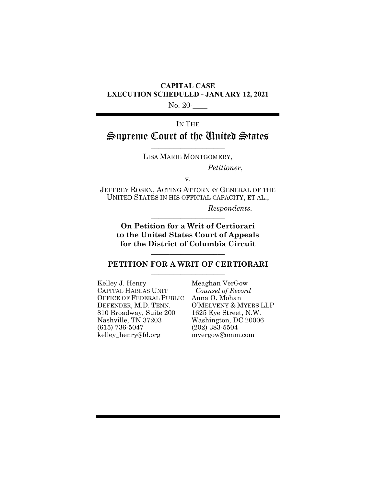### **CAPITAL CASE EXECUTION SCHEDULED - JANUARY 12, 2021**

No. 20-

# IN THE Supreme Court of the United States

 $\overline{\phantom{a}}$  , where  $\overline{\phantom{a}}$ LISA MARIE MONTGOMERY,

*Petitioner*,

v.

JEFFREY ROSEN, ACTING ATTORNEY GENERAL OF THE UNITED STATES IN HIS OFFICIAL CAPACITY, ET AL.,

> *Respondents.*  $\overline{\phantom{a}}$  , where  $\overline{\phantom{a}}$

**On Petition for a Writ of Certiorari to the United States Court of Appeals for the District of Columbia Circuit** \_\_\_\_\_\_\_\_\_\_\_\_\_\_\_\_\_\_\_\_

### **PETITION FOR A WRIT OF CERTIORARI** \_\_\_\_\_\_\_\_\_\_\_\_\_\_\_\_\_\_\_\_

Kelley J. Henry CAPITAL HABEAS UNIT OFFICE OF FEDERAL PUBLIC DEFENDER, M.D. TENN. 810 Broadway, Suite 200 Nashville, TN 37203 (615) 736-5047 kelley\_henry@fd.org

Meaghan VerGow  *Counsel of Record* Anna O. Mohan O'MELVENY & MYERS LLP 1625 Eye Street, N.W. Washington, DC 20006 (202) 383-5504 mvergow@omm.com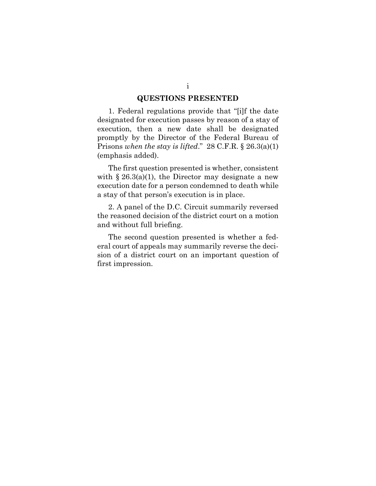### **QUESTIONS PRESENTED**

1. Federal regulations provide that "[i]f the date designated for execution passes by reason of a stay of execution, then a new date shall be designated promptly by the Director of the Federal Bureau of Prisons *when the stay is lifted*." 28 C.F.R. § 26.3(a)(1) (emphasis added).

The first question presented is whether, consistent with  $\S 26.3(a)(1)$ , the Director may designate a new execution date for a person condemned to death while a stay of that person's execution is in place.

2. A panel of the D.C. Circuit summarily reversed the reasoned decision of the district court on a motion and without full briefing.

The second question presented is whether a federal court of appeals may summarily reverse the decision of a district court on an important question of first impression.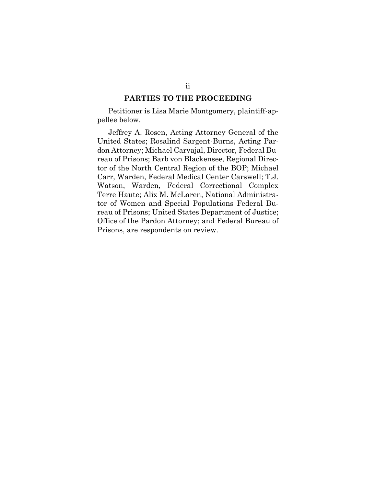### **PARTIES TO THE PROCEEDING**

Petitioner is Lisa Marie Montgomery, plaintiff-appellee below.

Jeffrey A. Rosen, Acting Attorney General of the United States; Rosalind Sargent-Burns, Acting Pardon Attorney; Michael Carvajal, Director, Federal Bureau of Prisons; Barb von Blackensee, Regional Director of the North Central Region of the BOP; Michael Carr, Warden, Federal Medical Center Carswell; T.J. Watson, Warden, Federal Correctional Complex Terre Haute; Alix M. McLaren, National Administrator of Women and Special Populations Federal Bureau of Prisons; United States Department of Justice; Office of the Pardon Attorney; and Federal Bureau of Prisons, are respondents on review.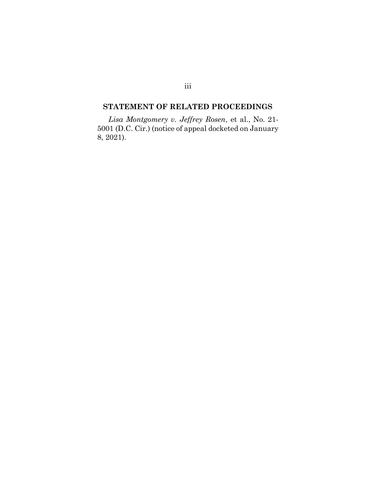### **STATEMENT OF RELATED PROCEEDINGS**

*Lisa Montgomery v. Jeffrey Rosen*, et al., No. 21- 5001 (D.C. Cir.) (notice of appeal docketed on January 8, 2021).

### iii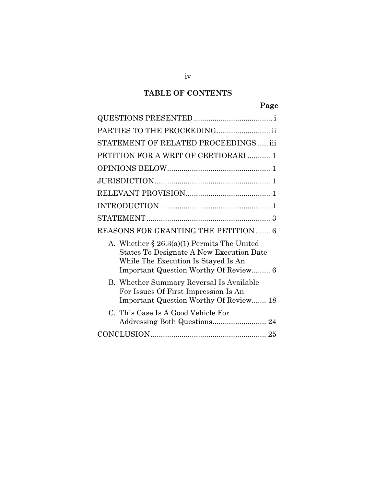# **TABLE OF CONTENTS**

# **Page**

| PARTIES TO THE PROCEEDING ii                                                                                                                                              |
|---------------------------------------------------------------------------------------------------------------------------------------------------------------------------|
| STATEMENT OF RELATED PROCEEDINGS  iii                                                                                                                                     |
| PETITION FOR A WRIT OF CERTIORARI  1                                                                                                                                      |
|                                                                                                                                                                           |
|                                                                                                                                                                           |
|                                                                                                                                                                           |
| $\mathbf{1}$                                                                                                                                                              |
| 3                                                                                                                                                                         |
| REASONS FOR GRANTING THE PETITION  6                                                                                                                                      |
| A. Whether $\S 26.3(a)(1)$ Permits The United<br>States To Designate A New Execution Date<br>While The Execution Is Stayed Is An<br>Important Question Worthy Of Review 6 |
| B. Whether Summary Reversal Is Available<br>For Issues Of First Impression Is An<br><b>Important Question Worthy Of Review 18</b>                                         |
| C. This Case Is A Good Vehicle For                                                                                                                                        |
|                                                                                                                                                                           |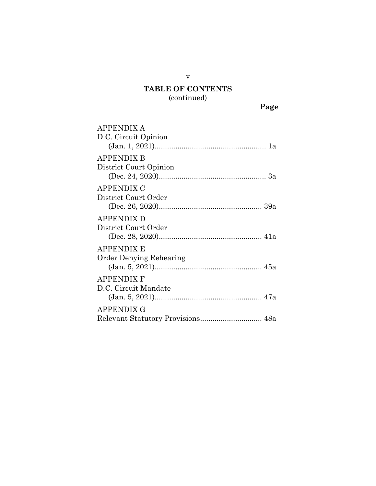## **TABLE OF CONTENTS** (continued)

v

**Page**

| <b>APPENDIX A</b><br>D.C. Circuit Opinion   |
|---------------------------------------------|
| <b>APPENDIX B</b><br>District Court Opinion |
| APPENDIX C<br>District Court Order          |
| <b>APPENDIX D</b><br>District Court Order   |
| APPENDIX E<br>Order Denying Rehearing       |
| APPENDIX F<br>D.C. Circuit Mandate          |
| APPENDIX G                                  |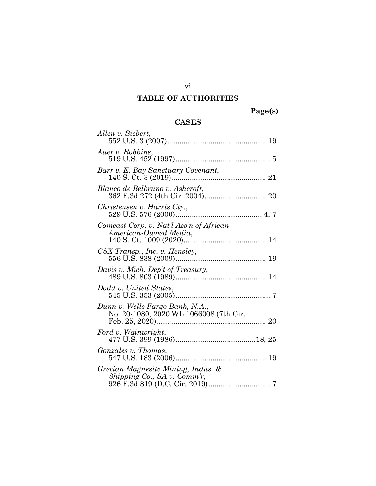## **TABLE OF AUTHORITIES**

**Page(s)**

### **CASES**

| Allen v. Siebert,                                                         |
|---------------------------------------------------------------------------|
| Auer v. Robbins,                                                          |
| Barr v. E. Bay Sanctuary Covenant,                                        |
| Blanco de Belbruno v. Ashcroft,                                           |
| Christensen v. Harris Cty.,                                               |
| Comcast Corp. v. Nat'l Ass'n of African<br>American-Owned Media,          |
| CSX Transp., Inc. v. Hensley,                                             |
| Davis v. Mich. Dep't of Treasury,                                         |
| Dodd v. United States,                                                    |
| Dunn v. Wells Fargo Bank, N.A.,<br>No. 20-1080, 2020 WL 1066008 (7th Cir. |
| Ford v. Wainwright,                                                       |
| Gonzales v. Thomas,                                                       |
| Grecian Magnesite Mining, Indus. &<br>Shipping Co., SA v. Comm'r,         |

vi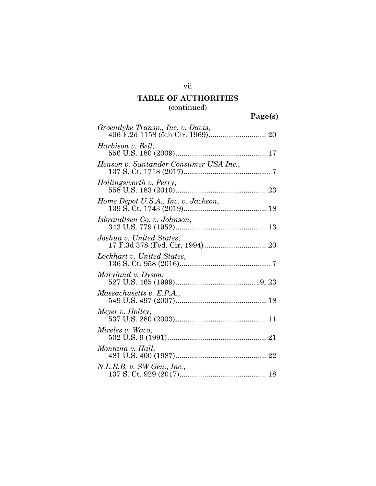## **TABLE OF AUTHORITIES** (continued)

|                                        | Page(s) |
|----------------------------------------|---------|
| Groendyke Transp., Inc. v. Davis,      |         |
| Harbison v. Bell,                      |         |
| Henson v. Santander Consumer USA Inc., |         |
| Hollingsworth v. Perry,                |         |
| Home Depot U.S.A., Inc. v. Jackson,    |         |
| Isbrandtsen Co. v. Johnson,            |         |
| Joshua v. United States,               |         |
| Lockhart v. United States,             |         |
| Maryland v. Dyson,                     |         |
| Massachusetts v. E.P.A.,               |         |
| Meyer v. Holley,                       |         |
| Mireles v. Waco,                       |         |
| Montana v. Hall,                       |         |
| N.L.R.B. v. SW Gen., Inc.,             |         |

vii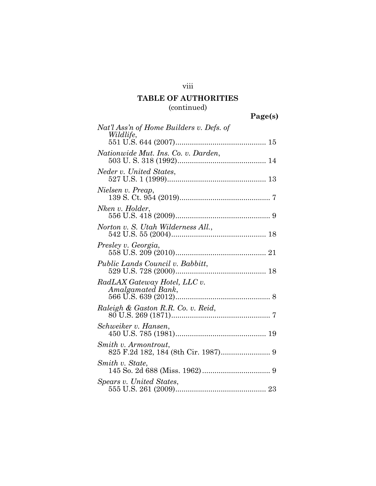## viii

## **TABLE OF AUTHORITIES** (continued)

|                                                       | Page(s) |
|-------------------------------------------------------|---------|
| Nat'l Ass'n of Home Builders v. Defs. of<br>Wildlife, |         |
|                                                       |         |
| Nationwide Mut. Ins. Co. v. Darden,                   |         |
| Neder v. United States,                               |         |
| Nielsen v. Preap,                                     |         |
| Nken v. Holder,                                       |         |
| Norton v. S. Utah Wilderness All.,                    |         |
| Presley v. Georgia,                                   |         |
| Public Lands Council v. Babbitt,                      |         |
| RadLAX Gateway Hotel, LLC v.<br>Amalgamated Bank,     |         |
| Raleigh & Gaston R.R. Co. v. Reid,                    |         |
| Schweiker v. Hansen,                                  |         |
| Smith v. Armontrout,                                  |         |
| Smith v. State,                                       |         |
| Spears v. United States,                              |         |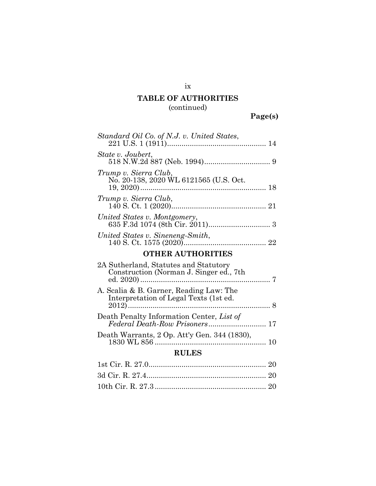## **TABLE OF AUTHORITIES** (continued)

**Page(s)**

| Standard Oil Co. of N.J. v. United States,                                        |  |  |  |
|-----------------------------------------------------------------------------------|--|--|--|
| State v. Joubert,                                                                 |  |  |  |
| Trump v. Sierra Club,<br>No. 20-138, 2020 WL 6121565 (U.S. Oct.                   |  |  |  |
| Trump v. Sierra Club,                                                             |  |  |  |
| United States v. Montgomery,                                                      |  |  |  |
| United States v. Sineneng-Smith,                                                  |  |  |  |
| <b>OTHER AUTHORITIES</b>                                                          |  |  |  |
| 2A Sutherland, Statutes and Statutory<br>Construction (Norman J. Singer ed., 7th  |  |  |  |
| A. Scalia & B. Garner, Reading Law: The<br>Interpretation of Legal Texts (1st ed. |  |  |  |
| Death Penalty Information Center, List of<br>Federal Death-Row Prisoners 17       |  |  |  |
| Death Warrants, 2 Op. Att'y Gen. 344 (1830),                                      |  |  |  |
| <b>RULES</b>                                                                      |  |  |  |
|                                                                                   |  |  |  |
|                                                                                   |  |  |  |
|                                                                                   |  |  |  |

ix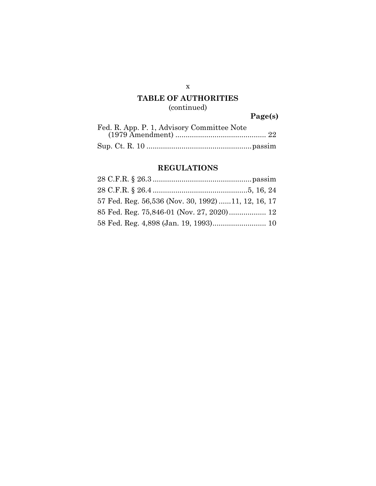## **TABLE OF AUTHORITIES** (continued)

**Page(s)**

| Fed. R. App. P. 1, Advisory Committee Note |
|--------------------------------------------|
|                                            |
|                                            |

## **REGULATIONS**

| 57 Fed. Reg. 56,536 (Nov. 30, 1992) 11, 12, 16, 17 |  |
|----------------------------------------------------|--|
| 85 Fed. Reg. 75,846-01 (Nov. 27, 2020) 12          |  |
|                                                    |  |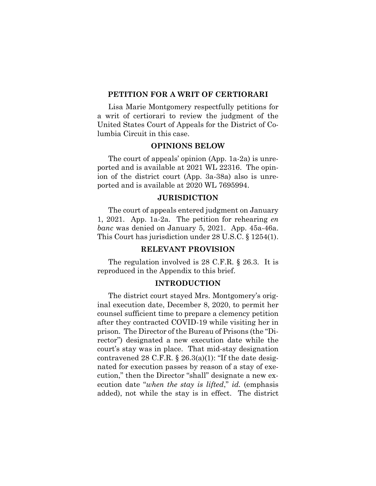### **PETITION FOR A WRIT OF CERTIORARI**

Lisa Marie Montgomery respectfully petitions for a writ of certiorari to review the judgment of the United States Court of Appeals for the District of Columbia Circuit in this case.

### **OPINIONS BELOW**

The court of appeals' opinion (App. 1a-2a) is unreported and is available at 2021 WL 22316. The opinion of the district court (App. 3a-38a) also is unreported and is available at 2020 WL 7695994.

### **JURISDICTION**

The court of appeals entered judgment on January 1, 2021. App. 1a-2a. The petition for rehearing *en banc* was denied on January 5, 2021. App. 45a-46a. This Court has jurisdiction under 28 U.S.C. § 1254(1).

### **RELEVANT PROVISION**

The regulation involved is 28 C.F.R. § 26.3. It is reproduced in the Appendix to this brief.

### **INTRODUCTION**

The district court stayed Mrs. Montgomery's original execution date, December 8, 2020, to permit her counsel sufficient time to prepare a clemency petition after they contracted COVID-19 while visiting her in prison. The Director of the Bureau of Prisons (the "Director") designated a new execution date while the court's stay was in place. That mid-stay designation contravened 28 C.F.R.  $\S$  26.3(a)(1): "If the date designated for execution passes by reason of a stay of execution," then the Director "shall" designate a new execution date "*when the stay is lifted*," *id.* (emphasis added), not while the stay is in effect. The district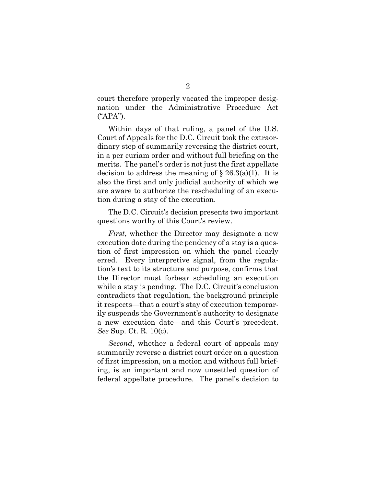court therefore properly vacated the improper designation under the Administrative Procedure Act ("APA").

Within days of that ruling, a panel of the U.S. Court of Appeals for the D.C. Circuit took the extraordinary step of summarily reversing the district court, in a per curiam order and without full briefing on the merits. The panel's order is not just the first appellate decision to address the meaning of  $\S 26.3(a)(1)$ . It is also the first and only judicial authority of which we are aware to authorize the rescheduling of an execution during a stay of the execution.

The D.C. Circuit's decision presents two important questions worthy of this Court's review.

*First*, whether the Director may designate a new execution date during the pendency of a stay is a question of first impression on which the panel clearly erred. Every interpretive signal, from the regulation's text to its structure and purpose, confirms that the Director must forbear scheduling an execution while a stay is pending. The D.C. Circuit's conclusion contradicts that regulation, the background principle it respects—that a court's stay of execution temporarily suspends the Government's authority to designate a new execution date—and this Court's precedent. *See* Sup. Ct. R. 10(c).

*Second*, whether a federal court of appeals may summarily reverse a district court order on a question of first impression, on a motion and without full briefing, is an important and now unsettled question of federal appellate procedure. The panel's decision to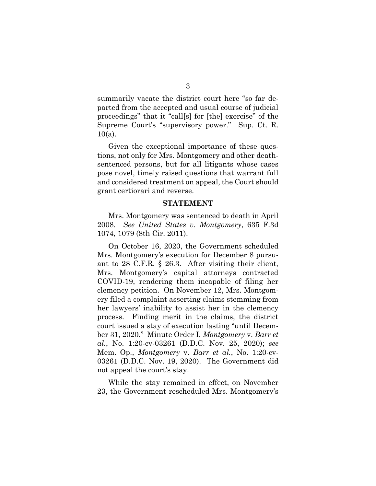summarily vacate the district court here "so far departed from the accepted and usual course of judicial proceedings" that it "call[s] for [the] exercise" of the Supreme Court's "supervisory power." Sup. Ct. R.  $10(a)$ .

Given the exceptional importance of these questions, not only for Mrs. Montgomery and other deathsentenced persons, but for all litigants whose cases pose novel, timely raised questions that warrant full and considered treatment on appeal, the Court should grant certiorari and reverse.

#### **STATEMENT**

Mrs. Montgomery was sentenced to death in April 2008. *See United States v. Montgomery*, 635 F.3d 1074, 1079 (8th Cir. 2011).

On October 16, 2020, the Government scheduled Mrs. Montgomery's execution for December 8 pursuant to 28 C.F.R. § 26.3. After visiting their client, Mrs. Montgomery's capital attorneys contracted COVID-19, rendering them incapable of filing her clemency petition. On November 12, Mrs. Montgomery filed a complaint asserting claims stemming from her lawyers' inability to assist her in the clemency process. Finding merit in the claims, the district court issued a stay of execution lasting "until December 31, 2020." Minute Order I, *Montgomery* v. *Barr et al.*, No. 1:20-cv-03261 (D.D.C. Nov. 25, 2020); *see*  Mem. Op., *Montgomery* v. *Barr et al.*, No. 1:20-cv-03261 (D.D.C. Nov. 19, 2020). The Government did not appeal the court's stay.

While the stay remained in effect, on November 23, the Government rescheduled Mrs. Montgomery's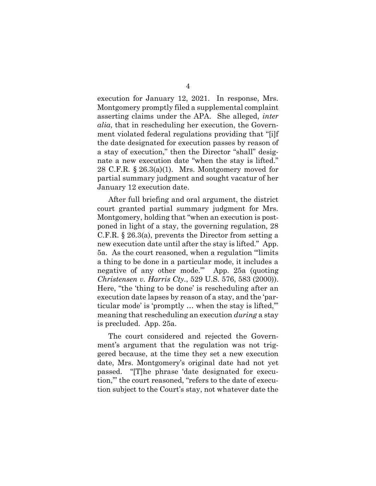execution for January 12, 2021. In response, Mrs. Montgomery promptly filed a supplemental complaint asserting claims under the APA. She alleged, *inter alia*, that in rescheduling her execution, the Government violated federal regulations providing that "[i]f the date designated for execution passes by reason of a stay of execution," then the Director "shall" designate a new execution date "when the stay is lifted." 28 C.F.R. § 26.3(a)(1). Mrs. Montgomery moved for partial summary judgment and sought vacatur of her January 12 execution date.

After full briefing and oral argument, the district court granted partial summary judgment for Mrs. Montgomery, holding that "when an execution is postponed in light of a stay, the governing regulation, 28 C.F.R. § 26.3(a), prevents the Director from setting a new execution date until after the stay is lifted." App. 5a. As the court reasoned, when a regulation "'limits a thing to be done in a particular mode, it includes a negative of any other mode.'" App. 25a (quoting *Christensen v. Harris Cty.*, 529 U.S. 576, 583 (2000)). Here, "the 'thing to be done' is rescheduling after an execution date lapses by reason of a stay, and the 'particular mode' is 'promptly … when the stay is lifted,'" meaning that rescheduling an execution *during* a stay is precluded. App. 25a.

The court considered and rejected the Government's argument that the regulation was not triggered because, at the time they set a new execution date, Mrs. Montgomery's original date had not yet passed. "[T]he phrase 'date designated for execution,'" the court reasoned, "refers to the date of execution subject to the Court's stay, not whatever date the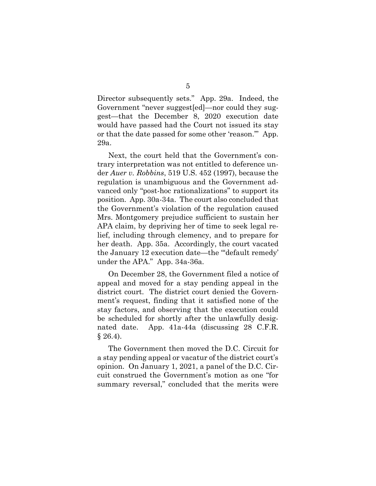Director subsequently sets." App. 29a. Indeed, the Government "never suggest[ed]—nor could they suggest—that the December 8, 2020 execution date would have passed had the Court not issued its stay or that the date passed for some other 'reason.'" App. 29a.

Next, the court held that the Government's contrary interpretation was not entitled to deference under *Auer v. Robbins*, 519 U.S. 452 (1997), because the regulation is unambiguous and the Government advanced only "post-hoc rationalizations" to support its position. App. 30a-34a. The court also concluded that the Government's violation of the regulation caused Mrs. Montgomery prejudice sufficient to sustain her APA claim, by depriving her of time to seek legal relief, including through clemency, and to prepare for her death. App. 35a. Accordingly, the court vacated the January 12 execution date—the "'default remedy' under the APA." App. 34a-36a.

On December 28, the Government filed a notice of appeal and moved for a stay pending appeal in the district court. The district court denied the Government's request, finding that it satisfied none of the stay factors, and observing that the execution could be scheduled for shortly after the unlawfully designated date. App. 41a-44a (discussing 28 C.F.R.  $§ 26.4).$ 

The Government then moved the D.C. Circuit for a stay pending appeal or vacatur of the district court's opinion. On January 1, 2021, a panel of the D.C. Circuit construed the Government's motion as one "for summary reversal," concluded that the merits were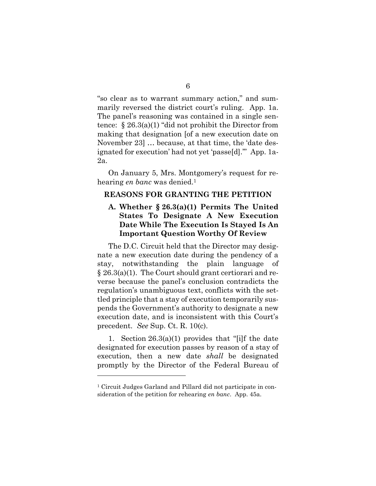"so clear as to warrant summary action," and summarily reversed the district court's ruling. App. 1a. The panel's reasoning was contained in a single sentence: § 26.3(a)(1) "did not prohibit the Director from making that designation [of a new execution date on November 23] … because, at that time, the 'date designated for execution' had not yet 'passe[d].'" App. 1a-2a.

On January 5, Mrs. Montgomery's request for rehearing *en banc* was denied. 1

#### **REASONS FOR GRANTING THE PETITION**

### **A. Whether § 26.3(a)(1) Permits The United States To Designate A New Execution Date While The Execution Is Stayed Is An Important Question Worthy Of Review**

The D.C. Circuit held that the Director may designate a new execution date during the pendency of a stay, notwithstanding the plain language of § 26.3(a)(1). The Court should grant certiorari and reverse because the panel's conclusion contradicts the regulation's unambiguous text, conflicts with the settled principle that a stay of execution temporarily suspends the Government's authority to designate a new execution date, and is inconsistent with this Court's precedent. *See* Sup. Ct. R. 10(c).

1. Section 26.3(a)(1) provides that "[i]f the date designated for execution passes by reason of a stay of execution, then a new date *shall* be designated promptly by the Director of the Federal Bureau of

 $\overline{a}$ 

<sup>1</sup> Circuit Judges Garland and Pillard did not participate in consideration of the petition for rehearing *en banc*. App. 45a.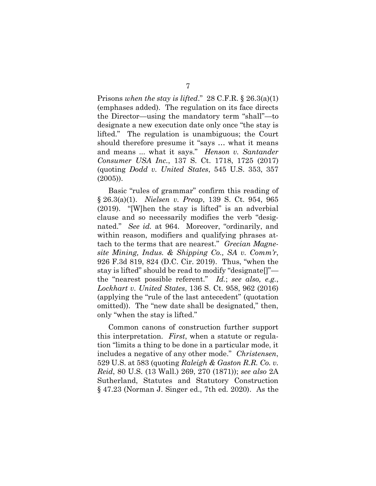Prisons *when the stay is lifted*." 28 C.F.R. § 26.3(a)(1) (emphases added). The regulation on its face directs the Director—using the mandatory term "shall"—to designate a new execution date only once "the stay is lifted." The regulation is unambiguous; the Court should therefore presume it "says … what it means and means ... what it says." *Henson v. Santander Consumer USA Inc.*, 137 S. Ct. 1718, 1725 (2017) (quoting *Dodd v. United States*, 545 U.S. 353, 357 (2005)).

Basic "rules of grammar" confirm this reading of § 26.3(a)(1). *Nielsen v. Preap*, 139 S. Ct. 954, 965 (2019). "[W]hen the stay is lifted" is an adverbial clause and so necessarily modifies the verb "designated." *See id.* at 964. Moreover, "ordinarily, and within reason, modifiers and qualifying phrases attach to the terms that are nearest." *Grecian Magnesite Mining, Indus. & Shipping Co., SA v. Comm'r*, 926 F.3d 819, 824 (D.C. Cir. 2019). Thus, "when the stay is lifted" should be read to modify "designate[]" the "nearest possible referent." *Id.*; *see also, e.g.*, *Lockhart v. United States*, 136 S. Ct. 958, 962 (2016) (applying the "rule of the last antecedent" (quotation omitted)).The "new date shall be designated," then, only "when the stay is lifted."

Common canons of construction further support this interpretation. *First*, when a statute or regulation "limits a thing to be done in a particular mode, it includes a negative of any other mode." *Christensen*, 529 U.S. at 583 (quoting *Raleigh & Gaston R.R. Co. v. Reid*, 80 U.S. (13 Wall.) 269, 270 (1871)); *see also* 2A Sutherland, Statutes and Statutory Construction § 47.23 (Norman J. Singer ed., 7th ed. 2020). As the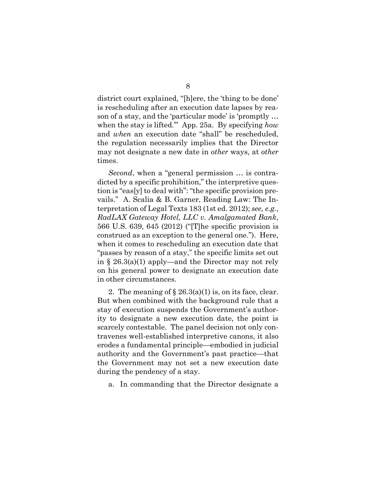district court explained, "[h]ere, the 'thing to be done' is rescheduling after an execution date lapses by reason of a stay, and the 'particular mode' is 'promptly … when the stay is lifted.'" App. 25a. By specifying *how* and *when* an execution date "shall" be rescheduled, the regulation necessarily implies that the Director may not designate a new date in *other* ways, at *other* times.

*Second*, when a "general permission … is contradicted by a specific prohibition," the interpretive question is "eas[y] to deal with": "the specific provision prevails." A. Scalia & B. Garner, Reading Law: The Interpretation of Legal Texts 183 (1st ed. 2012); *see, e.g.*, *RadLAX Gateway Hotel, LLC v. Amalgamated Bank*, 566 U.S. 639, 645 (2012) ("[T]he specific provision is construed as an exception to the general one."). Here, when it comes to rescheduling an execution date that "passes by reason of a stay," the specific limits set out in § 26.3(a)(1) apply—and the Director may not rely on his general power to designate an execution date in other circumstances.

2. The meaning of  $\S 26.3(a)(1)$  is, on its face, clear. But when combined with the background rule that a stay of execution suspends the Government's authority to designate a new execution date, the point is scarcely contestable. The panel decision not only contravenes well-established interpretive canons, it also erodes a fundamental principle—embodied in judicial authority and the Government's past practice—that the Government may not set a new execution date during the pendency of a stay.

a. In commanding that the Director designate a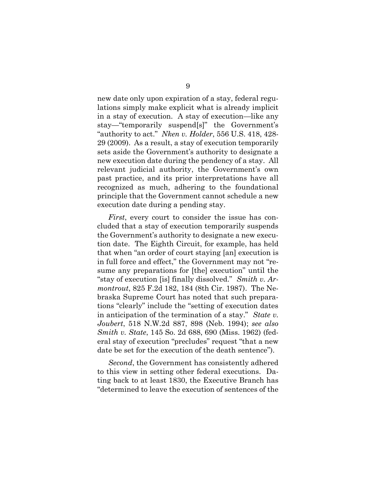new date only upon expiration of a stay, federal regulations simply make explicit what is already implicit in a stay of execution. A stay of execution—like any stay—"temporarily suspend[s]" the Government's "authority to act." *Nken v. Holder*, 556 U.S. 418, 428- 29 (2009). As a result, a stay of execution temporarily sets aside the Government's authority to designate a new execution date during the pendency of a stay. All relevant judicial authority, the Government's own past practice, and its prior interpretations have all recognized as much, adhering to the foundational principle that the Government cannot schedule a new execution date during a pending stay.

*First*, every court to consider the issue has concluded that a stay of execution temporarily suspends the Government's authority to designate a new execution date. The Eighth Circuit, for example, has held that when "an order of court staying [an] execution is in full force and effect," the Government may not "resume any preparations for [the] execution" until the "stay of execution [is] finally dissolved." *Smith v. Armontrout*, 825 F.2d 182, 184 (8th Cir. 1987). The Nebraska Supreme Court has noted that such preparations "clearly" include the "setting of execution dates in anticipation of the termination of a stay." *State v. Joubert*, 518 N.W.2d 887, 898 (Neb. 1994); *see also Smith v. State*, 145 So. 2d 688, 690 (Miss. 1962) (federal stay of execution "precludes" request "that a new date be set for the execution of the death sentence").

*Second*, the Government has consistently adhered to this view in setting other federal executions. Dating back to at least 1830, the Executive Branch has "determined to leave the execution of sentences of the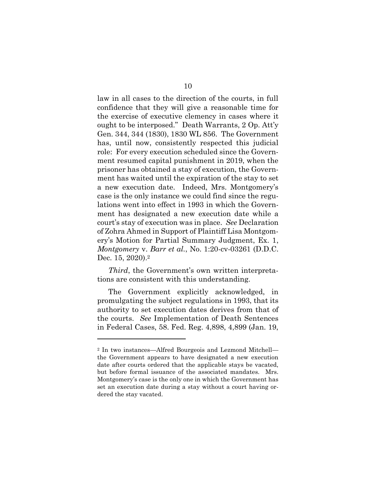law in all cases to the direction of the courts, in full confidence that they will give a reasonable time for the exercise of executive clemency in cases where it ought to be interposed." Death Warrants, 2 Op. Att'y Gen. 344, 344 (1830), 1830 WL 856. The Government has, until now, consistently respected this judicial role: For every execution scheduled since the Government resumed capital punishment in 2019, when the prisoner has obtained a stay of execution, the Government has waited until the expiration of the stay to set a new execution date. Indeed, Mrs. Montgomery's case is the only instance we could find since the regulations went into effect in 1993 in which the Government has designated a new execution date while a court's stay of execution was in place. *See* Declaration of Zohra Ahmed in Support of Plaintiff Lisa Montgomery's Motion for Partial Summary Judgment, Ex. 1, *Montgomery* v. *Barr et al.*, No. 1:20-cv-03261 (D.D.C. Dec. 15, 2020).<sup>2</sup>

*Third*, the Government's own written interpretations are consistent with this understanding.

The Government explicitly acknowledged, in promulgating the subject regulations in 1993, that its authority to set execution dates derives from that of the courts. *See* Implementation of Death Sentences in Federal Cases, 58. Fed. Reg. 4,898, 4,899 (Jan. 19,

 $\overline{a}$ 

<sup>2</sup> In two instances—Alfred Bourgeois and Lezmond Mitchell the Government appears to have designated a new execution date after courts ordered that the applicable stays be vacated, but before formal issuance of the associated mandates. Mrs. Montgomery's case is the only one in which the Government has set an execution date during a stay without a court having ordered the stay vacated.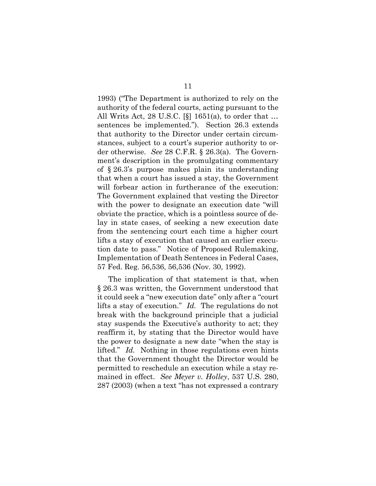1993) ("The Department is authorized to rely on the authority of the federal courts, acting pursuant to the All Writs Act, 28 U.S.C. [§] 1651(a), to order that … sentences be implemented."). Section 26.3 extends that authority to the Director under certain circumstances, subject to a court's superior authority to order otherwise. *See* 28 C.F.R. § 26.3(a). The Government's description in the promulgating commentary of § 26.3's purpose makes plain its understanding that when a court has issued a stay, the Government will forbear action in furtherance of the execution: The Government explained that vesting the Director with the power to designate an execution date "will obviate the practice, which is a pointless source of delay in state cases, of seeking a new execution date from the sentencing court each time a higher court lifts a stay of execution that caused an earlier execution date to pass." Notice of Proposed Rulemaking, Implementation of Death Sentences in Federal Cases, 57 Fed. Reg. 56,536, 56,536 (Nov. 30, 1992).

The implication of that statement is that, when § 26.3 was written, the Government understood that it could seek a "new execution date" only after a "court lifts a stay of execution." *Id.* The regulations do not break with the background principle that a judicial stay suspends the Executive's authority to act; they reaffirm it, by stating that the Director would have the power to designate a new date "when the stay is lifted." *Id.* Nothing in those regulations even hints that the Government thought the Director would be permitted to reschedule an execution while a stay remained in effect. *See Meyer v. Holley*, 537 U.S. 280, 287 (2003) (when a text "has not expressed a contrary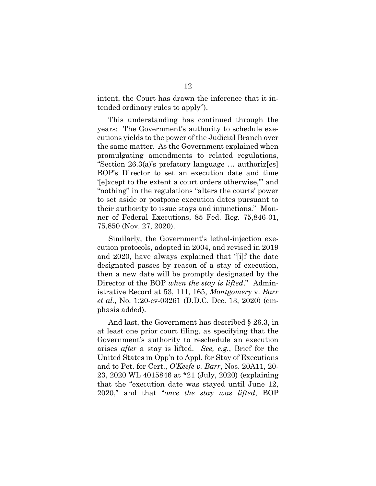intent, the Court has drawn the inference that it intended ordinary rules to apply").

This understanding has continued through the years: The Government's authority to schedule executions yields to the power of the Judicial Branch over the same matter. As the Government explained when promulgating amendments to related regulations, "Section 26.3(a)'s prefatory language … authoriz[es] BOP's Director to set an execution date and time '[e]xcept to the extent a court orders otherwise,'" and "nothing" in the regulations "alters the courts' power to set aside or postpone execution dates pursuant to their authority to issue stays and injunctions." Manner of Federal Executions, 85 Fed. Reg. 75,846-01, 75,850 (Nov. 27, 2020).

Similarly, the Government's lethal-injection execution protocols, adopted in 2004, and revised in 2019 and 2020, have always explained that "[i]f the date designated passes by reason of a stay of execution, then a new date will be promptly designated by the Director of the BOP *when the stay is lifted*." Administrative Record at 53, 111, 165, *Montgomery* v. *Barr et al.*, No. 1:20-cv-03261 (D.D.C. Dec. 13, 2020) (emphasis added).

And last, the Government has described § 26.3, in at least one prior court filing, as specifying that the Government's authority to reschedule an execution arises *after* a stay is lifted. *See, e.g.*, Brief for the United States in Opp'n to Appl. for Stay of Executions and to Pet. for Cert., *O'Keefe v. Barr*, Nos. 20A11, 20- 23, 2020 WL 4015846 at \*21 (July, 2020) (explaining that the "execution date was stayed until June 12, 2020," and that "*once the stay was lifted*, BOP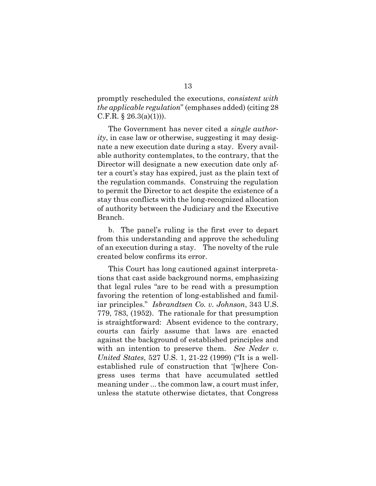promptly rescheduled the executions, *consistent with the applicable regulation*" (emphases added) (citing 28 C.F.R.  $\S 26.3(a)(1))$ .

The Government has never cited a *single authority*, in case law or otherwise, suggesting it may designate a new execution date during a stay. Every available authority contemplates, to the contrary, that the Director will designate a new execution date only after a court's stay has expired, just as the plain text of the regulation commands. Construing the regulation to permit the Director to act despite the existence of a stay thus conflicts with the long-recognized allocation of authority between the Judiciary and the Executive Branch.

b. The panel's ruling is the first ever to depart from this understanding and approve the scheduling of an execution during a stay. The novelty of the rule created below confirms its error.

This Court has long cautioned against interpretations that cast aside background norms, emphasizing that legal rules "are to be read with a presumption favoring the retention of long-established and familiar principles." *Isbrandtsen Co. v. Johnson*, 343 U.S. 779, 783, (1952). The rationale for that presumption is straightforward: Absent evidence to the contrary, courts can fairly assume that laws are enacted against the background of established principles and with an intention to preserve them. *See Neder v. United States*, 527 U.S. 1, 21-22 (1999) ("It is a wellestablished rule of construction that '[w]here Congress uses terms that have accumulated settled meaning under ... the common law, a court must infer, unless the statute otherwise dictates, that Congress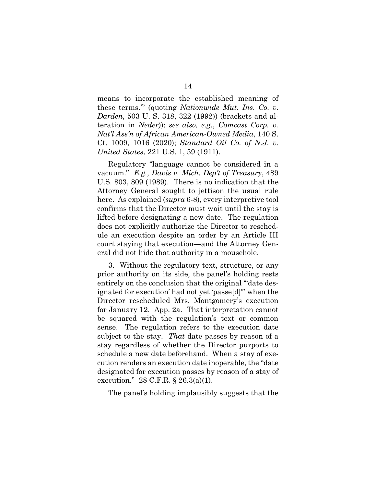means to incorporate the established meaning of these terms.'" (quoting *Nationwide Mut. Ins. Co. v. Darden*, 503 U. S. 318, 322 (1992)) (brackets and alteration in *Neder*)); *see also, e.g.*, *Comcast Corp. v. Nat'l Ass'n of African American-Owned Media*, 140 S. Ct. 1009, 1016 (2020); *Standard Oil Co. of N.J. v. United States*, 221 U.S. 1, 59 (1911).

Regulatory "language cannot be considered in a vacuum." *E.g.*, *Davis v. Mich. Dep't of Treasury*, 489 U.S. 803, 809 (1989). There is no indication that the Attorney General sought to jettison the usual rule here. As explained (*supra* 6-8), every interpretive tool confirms that the Director must wait until the stay is lifted before designating a new date. The regulation does not explicitly authorize the Director to reschedule an execution despite an order by an Article III court staying that execution—and the Attorney General did not hide that authority in a mousehole.

3. Without the regulatory text, structure, or any prior authority on its side, the panel's holding rests entirely on the conclusion that the original "date designated for execution' had not yet 'passe[d]'" when the Director rescheduled Mrs. Montgomery's execution for January 12. App. 2a. That interpretation cannot be squared with the regulation's text or common sense. The regulation refers to the execution date subject to the stay. *That* date passes by reason of a stay regardless of whether the Director purports to schedule a new date beforehand. When a stay of execution renders an execution date inoperable, the "date designated for execution passes by reason of a stay of execution." 28 C.F.R. § 26.3(a)(1).

The panel's holding implausibly suggests that the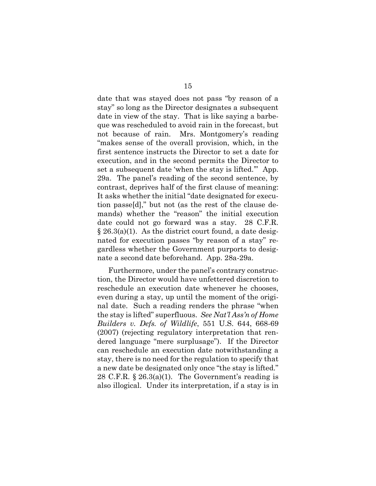date that was stayed does not pass "by reason of a stay" so long as the Director designates a subsequent date in view of the stay. That is like saying a barbeque was rescheduled to avoid rain in the forecast, but not because of rain. Mrs. Montgomery's reading "makes sense of the overall provision, which, in the first sentence instructs the Director to set a date for execution, and in the second permits the Director to set a subsequent date 'when the stay is lifted.'" App. 29a. The panel's reading of the second sentence, by contrast, deprives half of the first clause of meaning: It asks whether the initial "date designated for execution passe[d]," but not (as the rest of the clause demands) whether the "reason" the initial execution date could not go forward was a stay. 28 C.F.R.  $\S 26.3(a)(1)$ . As the district court found, a date designated for execution passes "by reason of a stay" regardless whether the Government purports to designate a second date beforehand. App. 28a-29a.

Furthermore, under the panel's contrary construction, the Director would have unfettered discretion to reschedule an execution date whenever he chooses, even during a stay, up until the moment of the original date. Such a reading renders the phrase "when the stay is lifted" superfluous. *See Nat'l Ass'n of Home Builders v. Defs. of Wildlife*, 551 U.S. 644, 668-69 (2007) (rejecting regulatory interpretation that rendered language "mere surplusage"). If the Director can reschedule an execution date notwithstanding a stay, there is no need for the regulation to specify that a new date be designated only once "the stay is lifted." 28 C.F.R. § 26.3(a)(1). The Government's reading is also illogical. Under its interpretation, if a stay is in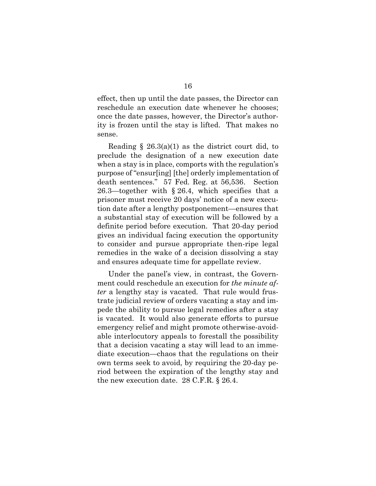effect, then up until the date passes, the Director can reschedule an execution date whenever he chooses; once the date passes, however, the Director's authority is frozen until the stay is lifted. That makes no sense.

Reading  $\S$  26.3(a)(1) as the district court did, to preclude the designation of a new execution date when a stay is in place, comports with the regulation's purpose of "ensur[ing] [the] orderly implementation of death sentences." 57 Fed. Reg. at 56,536. Section 26.3—together with § 26.4, which specifies that a prisoner must receive 20 days' notice of a new execution date after a lengthy postponement—ensures that a substantial stay of execution will be followed by a definite period before execution. That 20-day period gives an individual facing execution the opportunity to consider and pursue appropriate then-ripe legal remedies in the wake of a decision dissolving a stay and ensures adequate time for appellate review.

Under the panel's view, in contrast, the Government could reschedule an execution for *the minute after* a lengthy stay is vacated. That rule would frustrate judicial review of orders vacating a stay and impede the ability to pursue legal remedies after a stay is vacated. It would also generate efforts to pursue emergency relief and might promote otherwise-avoidable interlocutory appeals to forestall the possibility that a decision vacating a stay will lead to an immediate execution—chaos that the regulations on their own terms seek to avoid, by requiring the 20-day period between the expiration of the lengthy stay and the new execution date. 28 C.F.R. § 26.4.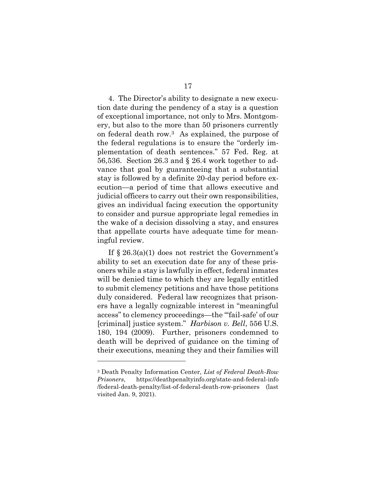4. The Director's ability to designate a new execution date during the pendency of a stay is a question of exceptional importance, not only to Mrs. Montgomery, but also to the more than 50 prisoners currently on federal death row.3 As explained, the purpose of the federal regulations is to ensure the "orderly implementation of death sentences." 57 Fed. Reg. at 56,536. Section 26.3 and § 26.4 work together to advance that goal by guaranteeing that a substantial stay is followed by a definite 20-day period before execution—a period of time that allows executive and judicial officers to carry out their own responsibilities, gives an individual facing execution the opportunity to consider and pursue appropriate legal remedies in the wake of a decision dissolving a stay, and ensures that appellate courts have adequate time for meaningful review.

If  $\S 26.3(a)(1)$  does not restrict the Government's ability to set an execution date for any of these prisoners while a stay is lawfully in effect, federal inmates will be denied time to which they are legally entitled to submit clemency petitions and have those petitions duly considered. Federal law recognizes that prisoners have a legally cognizable interest in "meaningful access" to clemency proceedings—the "'fail-safe' of our [criminal] justice system." *Harbison v. Bell*, 556 U.S. 180, 194 (2009). Further, prisoners condemned to death will be deprived of guidance on the timing of their executions, meaning they and their families will

 $\overline{a}$ 

<sup>3</sup> Death Penalty Information Center, *List of Federal Death-Row Prisoners*, https://deathpenaltyinfo.org/state-and-federal-info /federal-death-penalty/list-of-federal-death-row-prisoners (last visited Jan. 9, 2021).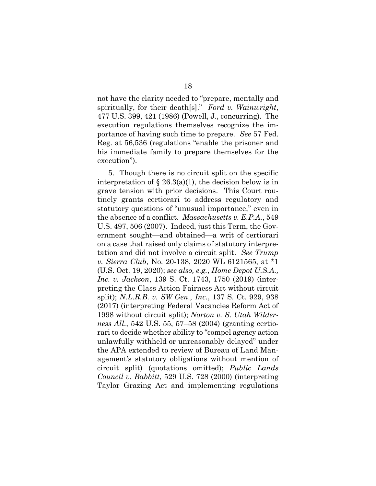not have the clarity needed to "prepare, mentally and spiritually, for their death[s]." *Ford v. Wainwright*, 477 U.S. 399, 421 (1986) (Powell, J., concurring). The execution regulations themselves recognize the importance of having such time to prepare. *See* 57 Fed. Reg. at 56,536 (regulations "enable the prisoner and his immediate family to prepare themselves for the execution").

5. Though there is no circuit split on the specific interpretation of  $\S 26.3(a)(1)$ , the decision below is in grave tension with prior decisions. This Court routinely grants certiorari to address regulatory and statutory questions of "unusual importance," even in the absence of a conflict. *Massachusetts v. E.P.A.*, 549 U.S. 497, 506 (2007). Indeed, just this Term, the Government sought—and obtained—a writ of certiorari on a case that raised only claims of statutory interpretation and did not involve a circuit split. *See Trump v. Sierra Club*, No. 20-138, 2020 WL 6121565, at \*1 (U.S. Oct. 19, 2020); *see also, e.g.*, *Home Depot U.S.A., Inc. v. Jackson*, 139 S. Ct. 1743, 1750 (2019) (interpreting the Class Action Fairness Act without circuit split); *N.L.R.B. v. SW Gen., Inc.*, 137 S. Ct. 929, 938 (2017) (interpreting Federal Vacancies Reform Act of 1998 without circuit split); *Norton v. S. Utah Wilderness All.*, 542 U.S. 55, 57–58 (2004) (granting certiorari to decide whether ability to "compel agency action unlawfully withheld or unreasonably delayed" under the APA extended to review of Bureau of Land Management's statutory obligations without mention of circuit split) (quotations omitted); *Public Lands Council v. Babbitt*, 529 U.S. 728 (2000) (interpreting Taylor Grazing Act and implementing regulations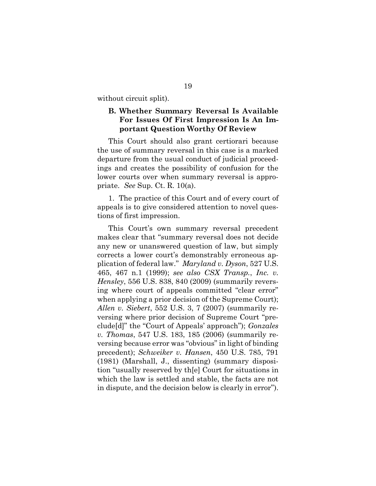without circuit split).

### **B. Whether Summary Reversal Is Available For Issues Of First Impression Is An Important Question Worthy Of Review**

This Court should also grant certiorari because the use of summary reversal in this case is a marked departure from the usual conduct of judicial proceedings and creates the possibility of confusion for the lower courts over when summary reversal is appropriate. *See* Sup. Ct. R. 10(a).

1. The practice of this Court and of every court of appeals is to give considered attention to novel questions of first impression.

This Court's own summary reversal precedent makes clear that "summary reversal does not decide any new or unanswered question of law, but simply corrects a lower court's demonstrably erroneous application of federal law." *Maryland v. Dyson*, 527 U.S. 465, 467 n.1 (1999); *see also CSX Transp.*, *Inc. v. Hensley*, 556 U.S. 838, 840 (2009) (summarily reversing where court of appeals committed "clear error" when applying a prior decision of the Supreme Court); *Allen v. Siebert*, 552 U.S. 3, 7 (2007) (summarily reversing where prior decision of Supreme Court "preclude[d]" the "Court of Appeals' approach"); *Gonzales v. Thomas*, 547 U.S. 183, 185 (2006) (summarily reversing because error was "obvious" in light of binding precedent); *Schweiker v. Hansen*, 450 U.S. 785, 791 (1981) (Marshall, J., dissenting) (summary disposition "usually reserved by th[e] Court for situations in which the law is settled and stable, the facts are not in dispute, and the decision below is clearly in error").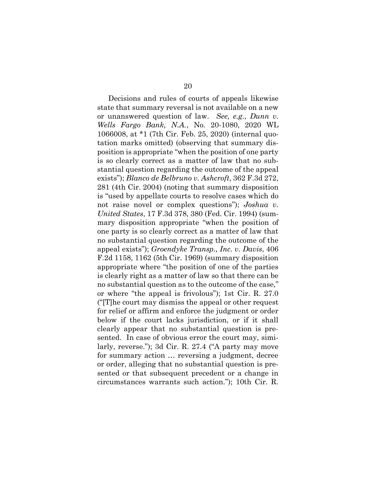Decisions and rules of courts of appeals likewise state that summary reversal is not available on a new or unanswered question of law. *See, e.g.*, *Dunn v. Wells Fargo Bank, N.A.*, No. 20-1080, 2020 WL 1066008, at \*1 (7th Cir. Feb. 25, 2020) (internal quotation marks omitted) (observing that summary disposition is appropriate "when the position of one party is so clearly correct as a matter of law that no substantial question regarding the outcome of the appeal exists"); *Blanco de Belbruno v. Ashcroft*, 362 F.3d 272, 281 (4th Cir. 2004) (noting that summary disposition is "used by appellate courts to resolve cases which do not raise novel or complex questions"); *Joshua v. United States*, 17 F.3d 378, 380 (Fed. Cir. 1994) (summary disposition appropriate "when the position of one party is so clearly correct as a matter of law that no substantial question regarding the outcome of the appeal exists"); *Groendyke Transp., Inc. v. Davis*, 406 F.2d 1158, 1162 (5th Cir. 1969) (summary disposition appropriate where "the position of one of the parties is clearly right as a matter of law so that there can be no substantial question as to the outcome of the case," or where "the appeal is frivolous"); 1st Cir. R. 27.0 ("[T]he court may dismiss the appeal or other request for relief or affirm and enforce the judgment or order below if the court lacks jurisdiction, or if it shall clearly appear that no substantial question is presented. In case of obvious error the court may, similarly, reverse."); 3d Cir. R. 27.4 ("A party may move for summary action … reversing a judgment, decree or order, alleging that no substantial question is presented or that subsequent precedent or a change in circumstances warrants such action."); 10th Cir. R.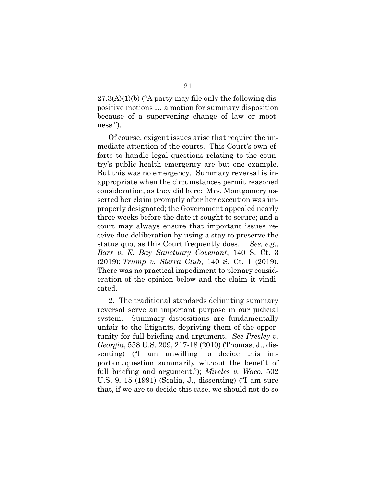$27.3(A)(1)(b)$  ("A party may file only the following dispositive motions … a motion for summary disposition because of a supervening change of law or mootness.").

Of course, exigent issues arise that require the immediate attention of the courts. This Court's own efforts to handle legal questions relating to the country's public health emergency are but one example. But this was no emergency. Summary reversal is inappropriate when the circumstances permit reasoned consideration, as they did here: Mrs. Montgomery asserted her claim promptly after her execution was improperly designated; the Government appealed nearly three weeks before the date it sought to secure; and a court may always ensure that important issues receive due deliberation by using a stay to preserve the status quo, as this Court frequently does. *See, e.g.*, *Barr v. E. Bay Sanctuary Covenant*, 140 S. Ct. 3 (2019); *Trump v. Sierra Club*, 140 S. Ct. 1 (2019). There was no practical impediment to plenary consideration of the opinion below and the claim it vindicated.

2. The traditional standards delimiting summary reversal serve an important purpose in our judicial system. Summary dispositions are fundamentally unfair to the litigants, depriving them of the opportunity for full briefing and argument. *See Presley v. Georgia*, 558 U.S. 209, 217-18 (2010) (Thomas, J., dissenting) ("I am unwilling to decide this important question summarily without the benefit of full briefing and argument."); *Mireles v. Waco*, 502 U.S. 9, 15 (1991) (Scalia, J., dissenting) ("I am sure that, if we are to decide this case, we should not do so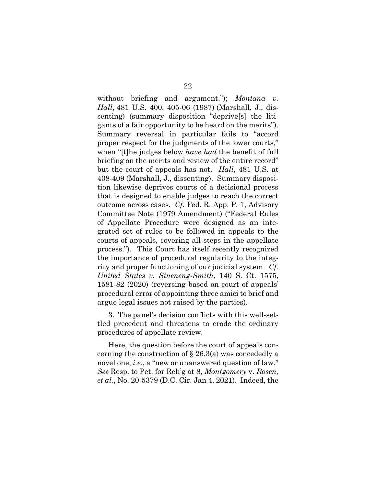without briefing and argument."); *Montana v. Hall*, 481 U.S. 400, 405-06 (1987) (Marshall, J., dissenting) (summary disposition "deprive[s] the litigants of a fair opportunity to be heard on the merits"). Summary reversal in particular fails to "accord proper respect for the judgments of the lower courts," when "[t]he judges below *have had* the benefit of full briefing on the merits and review of the entire record" but the court of appeals has not. *Hall*, 481 U.S. at 408-409 (Marshall, J., dissenting).Summary disposition likewise deprives courts of a decisional process that is designed to enable judges to reach the correct outcome across cases. *Cf.* Fed. R. App. P. 1, Advisory Committee Note (1979 Amendment) ("Federal Rules of Appellate Procedure were designed as an integrated set of rules to be followed in appeals to the courts of appeals, covering all steps in the appellate process."). This Court has itself recently recognized the importance of procedural regularity to the integrity and proper functioning of our judicial system. *Cf. United States v. Sineneng-Smith*, 140 S. Ct. 1575, 1581-82 (2020) (reversing based on court of appeals' procedural error of appointing three amici to brief and argue legal issues not raised by the parties).

3. The panel's decision conflicts with this well-settled precedent and threatens to erode the ordinary procedures of appellate review.

Here, the question before the court of appeals concerning the construction of § 26.3(a) was concededly a novel one, *i.e.*, a "new or unanswered question of law." *See* Resp. to Pet. for Reh'g at 8, *Montgomery* v. *Rosen, et al.*, No. 20-5379 (D.C. Cir. Jan 4, 2021). Indeed, the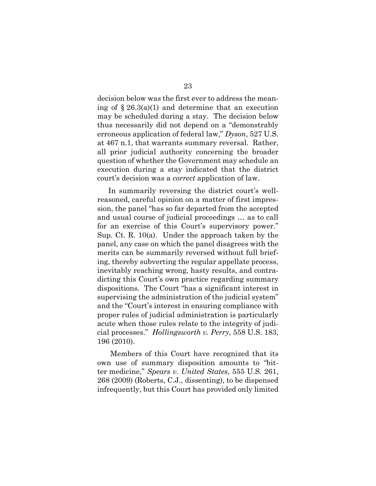decision below was the first ever to address the meaning of  $\S 26.3(a)(1)$  and determine that an execution may be scheduled during a stay. The decision below thus necessarily did not depend on a "demonstrably erroneous application of federal law," *Dyson*, 527 U.S. at 467 n.1, that warrants summary reversal. Rather, all prior judicial authority concerning the broader question of whether the Government may schedule an execution during a stay indicated that the district court's decision was a *correct* application of law.

In summarily reversing the district court's wellreasoned, careful opinion on a matter of first impression, the panel "has so far departed from the accepted and usual course of judicial proceedings … as to call for an exercise of this Court's supervisory power." Sup. Ct. R. 10(a). Under the approach taken by the panel, any case on which the panel disagrees with the merits can be summarily reversed without full briefing, thereby subverting the regular appellate process, inevitably reaching wrong, hasty results, and contradicting this Court's own practice regarding summary dispositions. The Court "has a significant interest in supervising the administration of the judicial system" and the "Court's interest in ensuring compliance with proper rules of judicial administration is particularly acute when those rules relate to the integrity of judicial processes." *Hollingsworth v. Perry*, 558 U.S. 183, 196 (2010).

Members of this Court have recognized that its own use of summary disposition amounts to "bitter medicine," *Spears v. United States*, 555 U.S. 261, 268 (2009) (Roberts, C.J., dissenting), to be dispensed infrequently, but this Court has provided only limited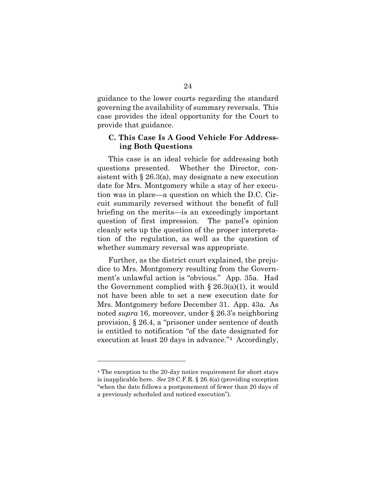guidance to the lower courts regarding the standard governing the availability of summary reversals. This case provides the ideal opportunity for the Court to provide that guidance.

### **C. This Case Is A Good Vehicle For Addressing Both Questions**

This case is an ideal vehicle for addressing both questions presented. Whether the Director, consistent with § 26.3(a), may designate a new execution date for Mrs. Montgomery while a stay of her execution was in place—a question on which the D.C. Circuit summarily reversed without the benefit of full briefing on the merits—is an exceedingly important question of first impression. The panel's opinion cleanly sets up the question of the proper interpretation of the regulation, as well as the question of whether summary reversal was appropriate.

Further, as the district court explained, the prejudice to Mrs. Montgomery resulting from the Government's unlawful action is "obvious." App. 35a. Had the Government complied with  $\S 26.3(a)(1)$ , it would not have been able to set a new execution date for Mrs. Montgomery before December 31. App. 43a. As noted *supra* 16, moreover, under § 26.3's neighboring provision, § 26.4, a "prisoner under sentence of death is entitled to notification "of the date designated for execution at least 20 days in advance."4 Accordingly,

 $\overline{a}$ 

<sup>4</sup> The exception to the 20-day notice requirement for short stays is inapplicable here. *See* 28 C.F.R. § 26.4(a) (providing exception "when the date follows a postponement of fewer than 20 days of a previously scheduled and noticed execution").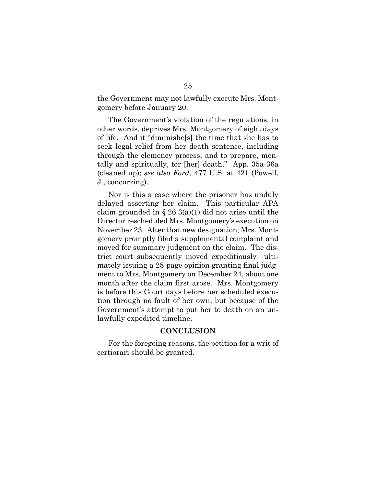the Government may not lawfully execute Mrs. Montgomery before January 20.

The Government's violation of the regulations, in other words, deprives Mrs. Montgomery of eight days of life. And it "diminishe[s] the time that she has to seek legal relief from her death sentence, including through the clemency process, and to prepare, mentally and spiritually, for [her] death." App. 35a-36a (cleaned up); *see also Ford*, 477 U.S. at 421 (Powell, J., concurring).

Nor is this a case where the prisoner has unduly delayed asserting her claim. This particular APA claim grounded in § 26.3(a)(1) did not arise until the Director rescheduled Mrs. Montgomery's execution on November 23. After that new designation, Mrs. Montgomery promptly filed a supplemental complaint and moved for summary judgment on the claim. The district court subsequently moved expeditiously—ultimately issuing a 28-page opinion granting final judgment to Mrs. Montgomery on December 24, about one month after the claim first arose. Mrs. Montgomery is before this Court days before her scheduled execution through no fault of her own, but because of the Government's attempt to put her to death on an unlawfully expedited timeline.

### **CONCLUSION**

For the foregoing reasons, the petition for a writ of certiorari should be granted.